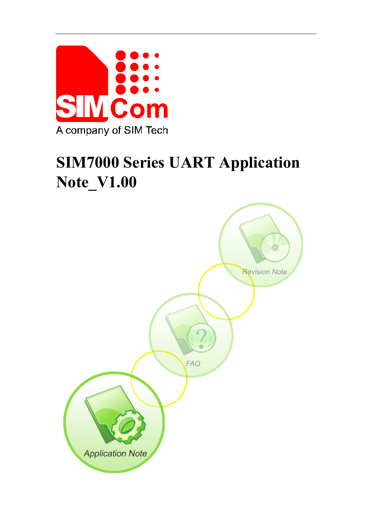

# **SIM7000 Series UART Application Note\_V1.00**

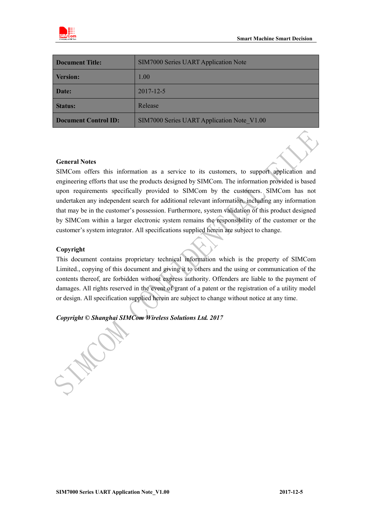

| <b>Document Title:</b>      | <b>SIM7000 Series UART Application Note</b> |
|-----------------------------|---------------------------------------------|
| <b>Version:</b>             | 1.00                                        |
| Date:                       | 2017-12-5                                   |
| <b>Status:</b>              | Release                                     |
| <b>Document Control ID:</b> | SIM7000 Series UART Application Note V1.00  |

#### **General Notes**

SIMCom offers this information as a service to its customers, to support application and engineering efforts that use the products designed by SIMCom. The information provided is based upon requirements specifically provided to SIMCom by the customers. SIMCom has not undertaken any independent search for additional relevant information, including any information that may be in the customer's possession. Furthermore, system validation of this product designed by SIMCom within a larger electronic system remains the responsibility of the customer or the customer's system integrator. All specifications supplied herein are subject to change.

#### **Copyright**

This document contains proprietary technical information which is the property of SIMCom Limited., copying of this document and giving it to others and the using or communication of the contents thereof, are forbidden without express authority. Offenders are liable to the payment of damages. All rights reserved in the event of grant of a patent or the registration of a utility model or design. All specification supplied herein are subject to change without notice at any time.

## *Copyright © Shanghai SIMCom Wireless Solutions Ltd. 2017*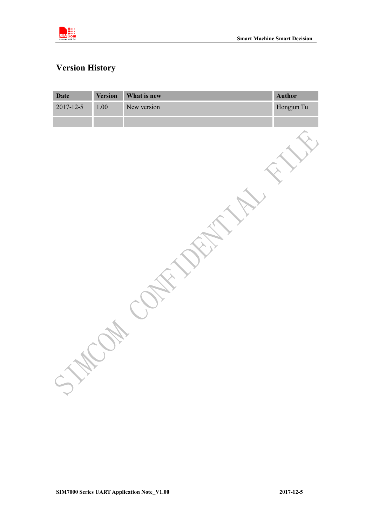

# <span id="page-2-0"></span>**Version History**

| <b>Date</b> | <b>Version</b> | What is new | Author     |
|-------------|----------------|-------------|------------|
| 2017-12-5   | $1.00\,$       | New version | Hongjun Tu |
|             |                |             |            |
|             |                |             |            |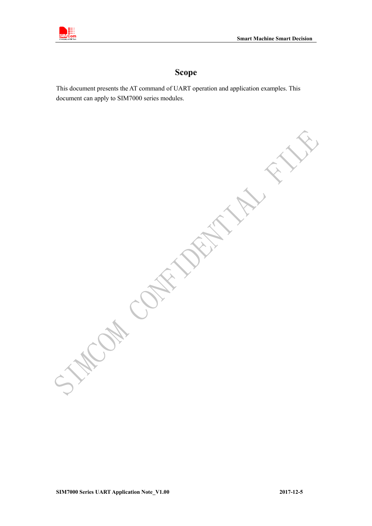

## **Scope**

<span id="page-3-0"></span>This document presents the AT command of UART operation and application examples. This document can apply to SIM7000 series modules.

**PRIT** OH COH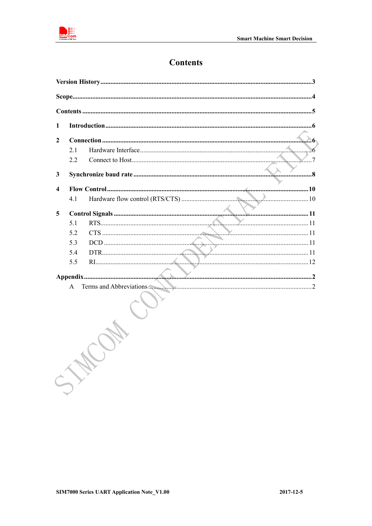<span id="page-4-0"></span>

## **Contents**

| $\mathbf{2}$ |     |  |
|--------------|-----|--|
|              | 2.1 |  |
|              | 2.2 |  |
| 3            |     |  |
| 4            |     |  |
|              | 4.1 |  |
| 5            |     |  |
|              | 5.1 |  |
|              | 5.2 |  |
|              | 5.3 |  |
|              | 5.4 |  |
|              | 5.5 |  |
|              |     |  |
|              | A   |  |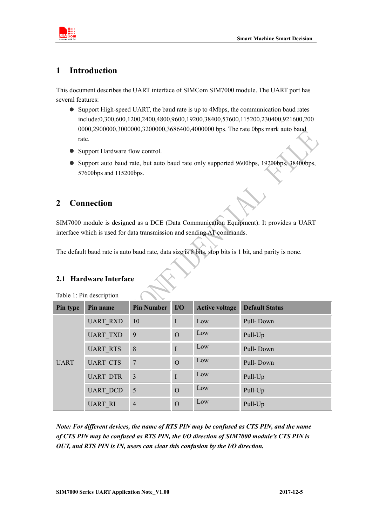

## <span id="page-5-0"></span>**1 Introduction**

This document describes the UART interface of SIMCom SIM7000 module. The UART port has several features:

- Support High-speed UART, the baud rate is up to 4Mbps, the communication baud rates include:0,300,600,1200,2400,4800,9600,19200,38400,57600,115200,230400,921600,200 0000,2900000,3000000,3200000,3686400,4000000 bps. The rate 0bps mark auto baud rate.
- Support Hardware flow control.
- Support auto baud rate, but auto baud rate only supported 9600bps, 19200bps, 38400bps, 57600bps and 115200bps.

## <span id="page-5-1"></span>**2 Connection**

SIM7000 module is designed as a DCE (Data Communication Equipment). It provides a UART interface which is used for data transmission and sending AT commands.

The default baud rate is auto baud rate, data size is 8 bits, stop bits is 1 bit, and parity is none.

## <span id="page-5-2"></span>**2.1 Hardware Interface**

| Pin type    | Pin name        | <b>Pin Number</b> | I/O            | <b>Active voltage</b> | <b>Default Status</b> |
|-------------|-----------------|-------------------|----------------|-----------------------|-----------------------|
| <b>UART</b> | <b>UART RXD</b> | 10                | I              | Low                   | Pull-Down             |
|             | <b>UART TXD</b> | 9                 | $\overline{O}$ | Low                   | Pull-Up               |
|             | <b>UART RTS</b> | 8                 | $\mathbf I$    | Low                   | Pull-Down             |
|             | <b>UART CTS</b> | 7                 | $\Omega$       | Low                   | Pull-Down             |
|             | <b>UART DTR</b> | $\overline{3}$    | $\mathbf I$    | Low                   | Pull-Up               |
|             | <b>UART DCD</b> | 5                 | $\overline{O}$ | Low                   | Pull-Up               |
|             | <b>UART RI</b>  | $\overline{4}$    | $\Omega$       | Low                   | Pull-Up               |

Table 1: Pin description

*Note: For different devices, the name of RTS PIN may be confused as CTS PIN, and the name of CTS PIN may be confused as RTS PIN, the I/O direction of SIM7000 module's CTS PIN is OUT, and RTS PIN is IN, users can clear this confusion by the I/O direction.*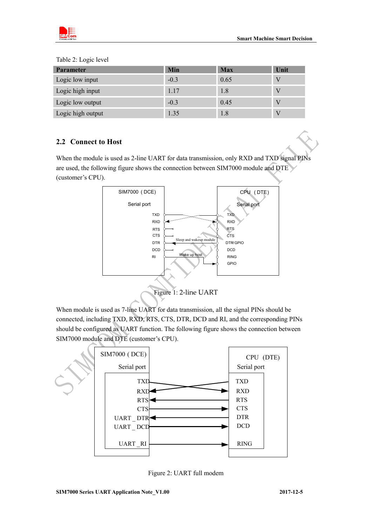

| <b>Parameter</b>  | Min    | <b>Max</b> | Unit |
|-------------------|--------|------------|------|
| Logic low input   | $-0.3$ | 0.65       | V    |
| Logic high input  | 1.17   | 1.8        |      |
| Logic low output  | $-0.3$ | 0.45       | V    |
| Logic high output | 1.35   | 1.8        |      |

Table 2: Logic level

### <span id="page-6-0"></span>**2.2 Connect to Host**

When the module is used as 2-line UART for data transmission, only RXD and TXD signal PINs are used, the following figure shows the connection between SIM7000 module and DTE (customer's CPU).



When module is used as 7-line UART for data transmission, all the signal PINs should be connected, including TXD, RXD, RTS, CTS, DTR, DCD and RI, and the corresponding PINs should be configured as UART function. The following figure shows the connection between SIM7000 module and DTE (customer's CPU).



Figure 2: UART full modem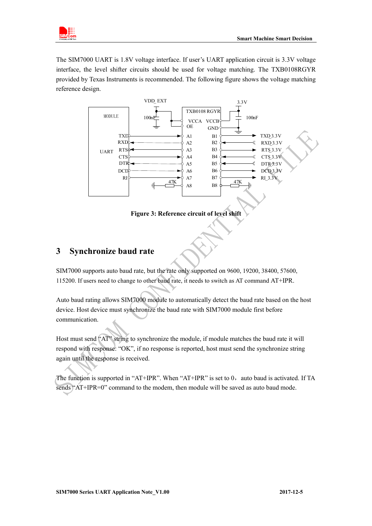

The SIM7000 UART is 1.8V voltage interface. If user's UART application circuit is 3.3V voltage interface, the level shifter circuits should be used for voltage matching. The TXB0108RGYR provided by Texas Instruments is recommended. The following figure shows the voltage matching reference design.





## <span id="page-7-0"></span>**3 Synchronize baud rate**

SIM7000 supports auto baud rate, but the rate only supported on 9600, 19200, 38400, 57600, 115200. If users need to change to other baud rate, it needs to switch as AT command AT+IPR.

Auto baud rating allows SIM7000 module to automatically detect the baud rate based on the host device. Host device must synchronize the baud rate with SIM7000 module first before communication.

Host must send "AT" string to synchronize the module, if module matches the baud rate it will respond with response: "OK", if no response is reported, host must send the synchronize string again until the response is received.

The function is supported in "AT+IPR". When "AT+IPR" is set to  $0$ , auto baud is activated. If TA sends "AT+IPR=0" command to the modem, then module will be saved as auto baud mode.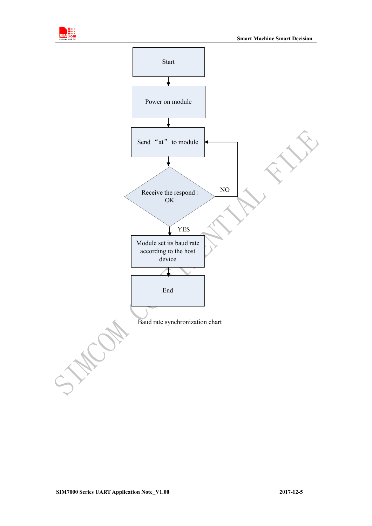

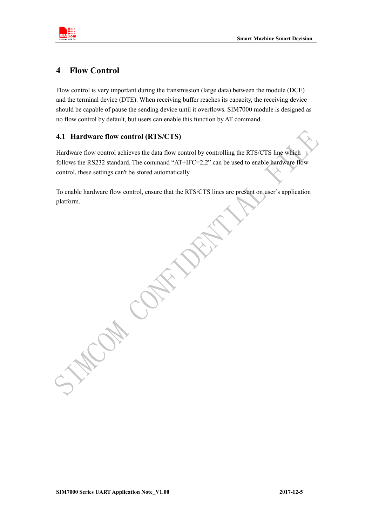

## <span id="page-9-0"></span>**4 Flow Control**

Flow control is very important during the transmission (large data) between the module (DCE) and the terminal device (DTE). When receiving buffer reaches its capacity, the receiving device should be capable of pause the sending device until it overflows. SIM7000 module is designed as no flow control by default, but users can enable this function by AT command.

#### <span id="page-9-1"></span>**4.1 Hardware flow control (RTS/CTS)**

Hardware flow control achieves the data flow control by controlling the RTS/CTS line which follows the RS232 standard. The command "AT+IFC=2,2" can be used to enable hardware flow control, these settings can't be stored automatically.

To enable hardware flow control, ensure that the RTS/CTS lines are present on user's application platform.

**CONTROL**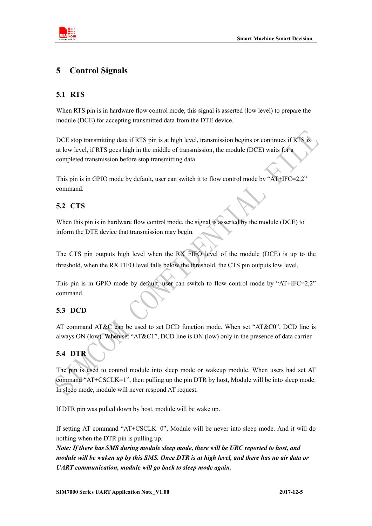

## <span id="page-10-0"></span>**5 Control Signals**

## <span id="page-10-1"></span>**5.1 RTS**

When RTS pin is in hardware flow control mode, this signal is asserted (low level) to prepare the module (DCE) for accepting transmitted data from the DTE device.

DCE stop transmitting data if RTS pin is at high level, transmission begins or continues if RTS is at low level, if RTS goes high in the middle of transmission, the module (DCE) waits for a completed transmission before stop transmitting data.

This pin is in GPIO mode by default, user can switch it to flow control mode by "AT+IFC=2,2" command.

## <span id="page-10-2"></span>**5.2 CTS**

When this pin is in hardware flow control mode, the signal is asserted by the module (DCE) to inform the DTE device that transmission may begin.

The CTS pin outputs high level when the RX FIFO level of the module (DCE) is up to the threshold, when the RX FIFO level falls below the threshold, the CTS pin outputs low level.

This pin is in GPIO mode by default, user can switch to flow control mode by "AT+IFC=2,2" command.

## <span id="page-10-3"></span>**5.3 DCD**

AT command AT&C can be used to set DCD function mode. When set "AT&C0", DCD line is always ON (low). When set "AT&C1", DCD line is ON (low) only in the presence of data carrier.

## <span id="page-10-4"></span>**5.4 DTR**

The pin is used to control module into sleep mode or wakeup module. When users had set AT command "AT+CSCLK=1", then pulling up the pin DTR by host, Module will be into sleep mode. In sleep mode, module will never respond AT request.

If DTR pin was pulled down by host, module will be wake up.

If setting AT command "AT+CSCLK=0", Module will be never into sleep mode. And it will do nothing when the DTR pin is pulling up.

*Note: If there has SMS during module sleep mode, there will be URC reported to host, and module will be waken up by this SMS. Once DTR is at high level, and there has no air data or UART communication, module will go back to sleep mode again.*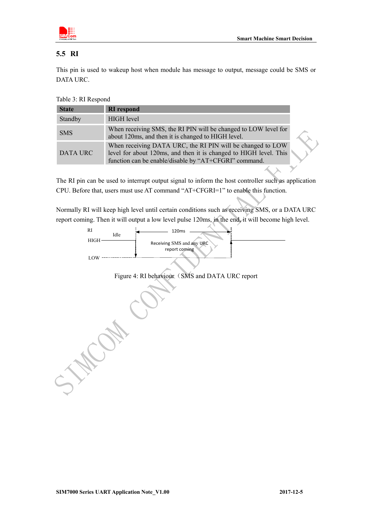

#### <span id="page-11-0"></span>**5.5 RI**

This pin is used to wakeup host when module has message to output, message could be SMS or DATA URC.

Table 3: RI Respond

| <b>State</b> | <b>RI</b> respond                                                                                                                                                                        |
|--------------|------------------------------------------------------------------------------------------------------------------------------------------------------------------------------------------|
| Standby      | <b>HIGH</b> level                                                                                                                                                                        |
| <b>SMS</b>   | When receiving SMS, the RI PIN will be changed to LOW level for<br>about 120ms, and then it is changed to HIGH level.                                                                    |
| DATA URC     | When receiving DATA URC, the RI PIN will be changed to LOW<br>level for about 120ms, and then it is changed to HIGH level. This<br>function can be enable/disable by "AT+CFGRI" command. |

The RI pin can be used to interrupt output signal to inform the host controller such as application CPU. Before that, users must use AT command "AT+CFGRI=1" to enable this function.

Normally RI will keep high level until certain conditions such as receiving SMS, or a DATA URC report coming. Then it will output a low level pulse 120ms, in the end, it will become high level.



Figure 4: RI behaviour (SMS and DATA URC report

HER.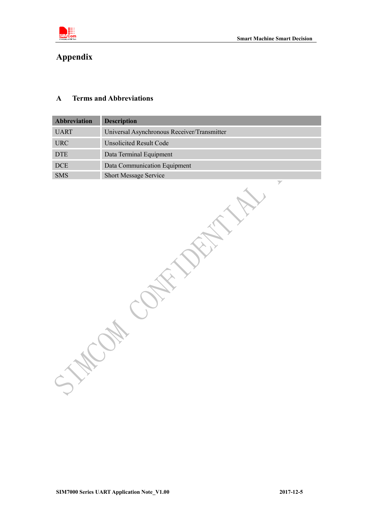

## <span id="page-12-0"></span>**Appendix**

#### <span id="page-12-1"></span>**A Terms and Abbreviations**

| Abbreviation | Description                                       |
|--------------|---------------------------------------------------|
| <b>UART</b>  | Universal Asynchronous Receiver/Transmitter       |
| <b>URC</b>   | <b>Unsolicited Result Code</b>                    |
| $DTE$        | Data Terminal Equipment                           |
| $\rm DCE$    | Data Communication Equipment                      |
| SMS          | Short Message Service<br>$\overline{\phantom{a}}$ |
|              |                                                   |